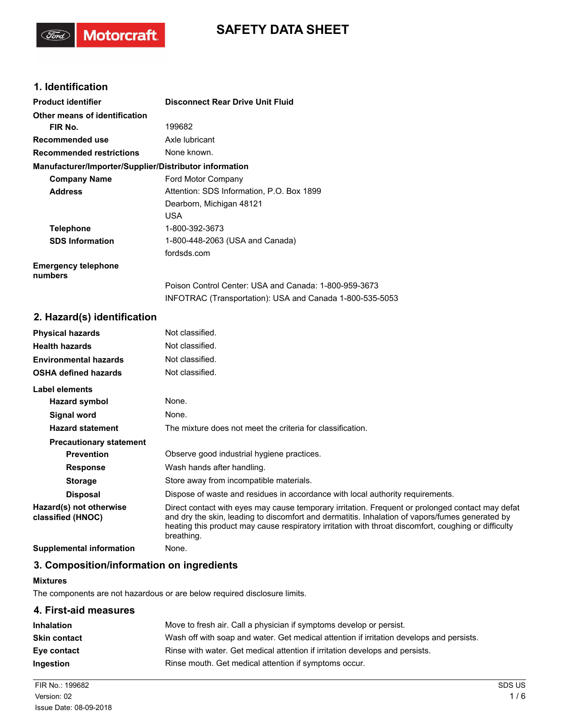# **SAFETY DATA SHEET**

# **1. Identification**

(Ford)

Motorcraft.

| <b>Product identifier</b>                              | <b>Disconnect Rear Drive Unit Fluid</b>                  |
|--------------------------------------------------------|----------------------------------------------------------|
| Other means of identification                          |                                                          |
| FIR No.                                                | 199682                                                   |
| Recommended use                                        | Axle lubricant                                           |
| <b>Recommended restrictions</b>                        | None known.                                              |
| Manufacturer/Importer/Supplier/Distributor information |                                                          |
| <b>Company Name</b>                                    | Ford Motor Company                                       |
| <b>Address</b>                                         | Attention: SDS Information, P.O. Box 1899                |
|                                                        | Dearborn, Michigan 48121                                 |
|                                                        | <b>USA</b>                                               |
| <b>Telephone</b>                                       | 1-800-392-3673                                           |
| <b>SDS Information</b>                                 | 1-800-448-2063 (USA and Canada)                          |
|                                                        | fordsds.com                                              |
| <b>Emergency telephone</b><br>numbers                  |                                                          |
|                                                        | Poison Control Center: USA and Canada: 1-800-959-3673    |
|                                                        | INFOTRAC (Transportation): USA and Canada 1-800-535-5053 |

# **2. Hazard(s) identification**

| <b>Physical hazards</b>                      | Not classified.                                                                                                                                                                                                                                                                                                           |
|----------------------------------------------|---------------------------------------------------------------------------------------------------------------------------------------------------------------------------------------------------------------------------------------------------------------------------------------------------------------------------|
| <b>Health hazards</b>                        | Not classified.                                                                                                                                                                                                                                                                                                           |
| <b>Environmental hazards</b>                 | Not classified.                                                                                                                                                                                                                                                                                                           |
| <b>OSHA defined hazards</b>                  | Not classified.                                                                                                                                                                                                                                                                                                           |
| Label elements                               |                                                                                                                                                                                                                                                                                                                           |
| Hazard symbol                                | None.                                                                                                                                                                                                                                                                                                                     |
| Signal word                                  | None.                                                                                                                                                                                                                                                                                                                     |
| <b>Hazard statement</b>                      | The mixture does not meet the criteria for classification.                                                                                                                                                                                                                                                                |
| <b>Precautionary statement</b>               |                                                                                                                                                                                                                                                                                                                           |
| <b>Prevention</b>                            | Observe good industrial hygiene practices.                                                                                                                                                                                                                                                                                |
| <b>Response</b>                              | Wash hands after handling.                                                                                                                                                                                                                                                                                                |
| <b>Storage</b>                               | Store away from incompatible materials.                                                                                                                                                                                                                                                                                   |
| <b>Disposal</b>                              | Dispose of waste and residues in accordance with local authority requirements.                                                                                                                                                                                                                                            |
| Hazard(s) not otherwise<br>classified (HNOC) | Direct contact with eyes may cause temporary irritation. Frequent or prolonged contact may defat<br>and dry the skin, leading to discomfort and dermatitis. Inhalation of vapors/fumes generated by<br>heating this product may cause respiratory irritation with throat discomfort, coughing or difficulty<br>breathing. |
| Supplemental information                     | None.                                                                                                                                                                                                                                                                                                                     |

### **3. Composition/information on ingredients**

### **Mixtures**

The components are not hazardous or are below required disclosure limits.

# **4. First-aid measures**

| <b>Inhalation</b>   | Move to fresh air. Call a physician if symptoms develop or persist.                      |
|---------------------|------------------------------------------------------------------------------------------|
| <b>Skin contact</b> | Wash off with soap and water. Get medical attention if irritation develops and persists. |
| Eye contact         | Rinse with water. Get medical attention if irritation develops and persists.             |
| <b>Ingestion</b>    | Rinse mouth. Get medical attention if symptoms occur.                                    |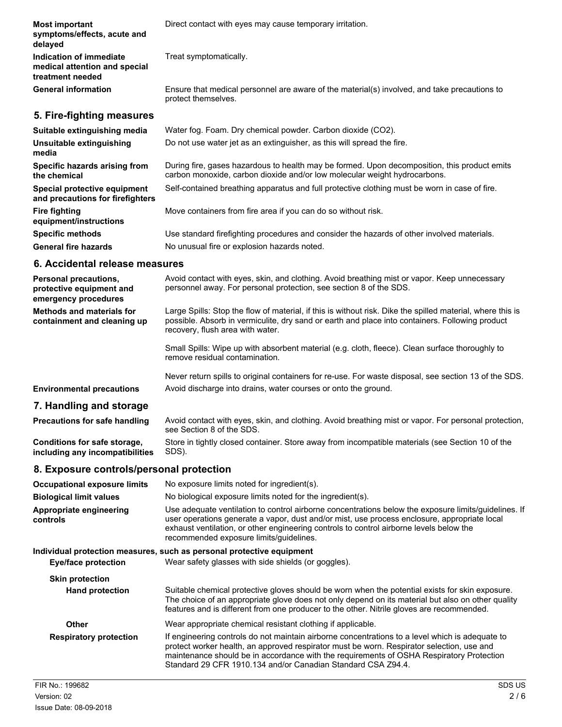| <b>Most important</b><br>symptoms/effects, acute and<br>delayed              | Direct contact with eyes may cause temporary irritation.                                                                                                                                                                                          |
|------------------------------------------------------------------------------|---------------------------------------------------------------------------------------------------------------------------------------------------------------------------------------------------------------------------------------------------|
| Indication of immediate<br>medical attention and special<br>treatment needed | Treat symptomatically.                                                                                                                                                                                                                            |
| <b>General information</b>                                                   | Ensure that medical personnel are aware of the material(s) involved, and take precautions to<br>protect themselves.                                                                                                                               |
| 5. Fire-fighting measures                                                    |                                                                                                                                                                                                                                                   |
| Suitable extinguishing media                                                 | Water fog. Foam. Dry chemical powder. Carbon dioxide (CO2).                                                                                                                                                                                       |
| Unsuitable extinguishing<br>media                                            | Do not use water jet as an extinguisher, as this will spread the fire.                                                                                                                                                                            |
| Specific hazards arising from<br>the chemical                                | During fire, gases hazardous to health may be formed. Upon decomposition, this product emits<br>carbon monoxide, carbon dioxide and/or low molecular weight hydrocarbons.                                                                         |
| Special protective equipment<br>and precautions for firefighters             | Self-contained breathing apparatus and full protective clothing must be worn in case of fire.                                                                                                                                                     |
| <b>Fire fighting</b><br>equipment/instructions                               | Move containers from fire area if you can do so without risk.                                                                                                                                                                                     |
| <b>Specific methods</b>                                                      | Use standard firefighting procedures and consider the hazards of other involved materials.                                                                                                                                                        |
| <b>General fire hazards</b>                                                  | No unusual fire or explosion hazards noted.                                                                                                                                                                                                       |
| 6. Accidental release measures                                               |                                                                                                                                                                                                                                                   |
| Personal precautions,<br>protective equipment and<br>emergency procedures    | Avoid contact with eyes, skin, and clothing. Avoid breathing mist or vapor. Keep unnecessary<br>personnel away. For personal protection, see section 8 of the SDS.                                                                                |
| <b>Methods and materials for</b><br>containment and cleaning up              | Large Spills: Stop the flow of material, if this is without risk. Dike the spilled material, where this is<br>possible. Absorb in vermiculite, dry sand or earth and place into containers. Following product<br>recovery, flush area with water. |
|                                                                              | Small Spills: Wipe up with absorbent material (e.g. cloth, fleece). Clean surface thoroughly to<br>remove residual contamination.                                                                                                                 |
| <b>Environmental precautions</b>                                             | Never return spills to original containers for re-use. For waste disposal, see section 13 of the SDS.<br>Avoid discharge into drains, water courses or onto the ground.                                                                           |
| 7. Handling and storage                                                      |                                                                                                                                                                                                                                                   |
| <b>Precautions for safe handling</b>                                         | Avoid contact with eyes, skin, and clothing. Avoid breathing mist or vapor. For personal protection,<br>see Section 8 of the SDS.                                                                                                                 |
| Conditions for safe storage,<br>including any incompatibilities              | Store in tightly closed container. Store away from incompatible materials (see Section 10 of the<br>SDS).                                                                                                                                         |
| 8. Exposure controls/personal protection                                     |                                                                                                                                                                                                                                                   |
| <b>Occupational exposure limits</b>                                          | No exposure limits noted for ingredient(s).                                                                                                                                                                                                       |

**Biological limit values** No biological exposure limits noted for the ingredient(s). Use adequate ventilation to control airborne concentrations below the exposure limits/guidelines. If user operations generate a vapor, dust and/or mist, use process enclosure, appropriate local exhaust ventilation, or other engineering controls to control airborne levels below the recommended exposure limits/guidelines. **Appropriate engineering controls Individual protection measures, such as personal protective equipment Eye/face protection** Wear safety glasses with side shields (or goggles). **Skin protection** Suitable chemical protective gloves should be worn when the potential exists for skin exposure. The choice of an appropriate glove does not only depend on its material but also on other quality features and is different from one producer to the other. Nitrile gloves are recommended. **Hand protection Other** Wear appropriate chemical resistant clothing if applicable. If engineering controls do not maintain airborne concentrations to a level which is adequate to **Respiratory protection**

protect worker health, an approved respirator must be worn. Respirator selection, use and maintenance should be in accordance with the requirements of OSHA Respiratory Protection Standard 29 CFR 1910.134 and/or Canadian Standard CSA Z94.4.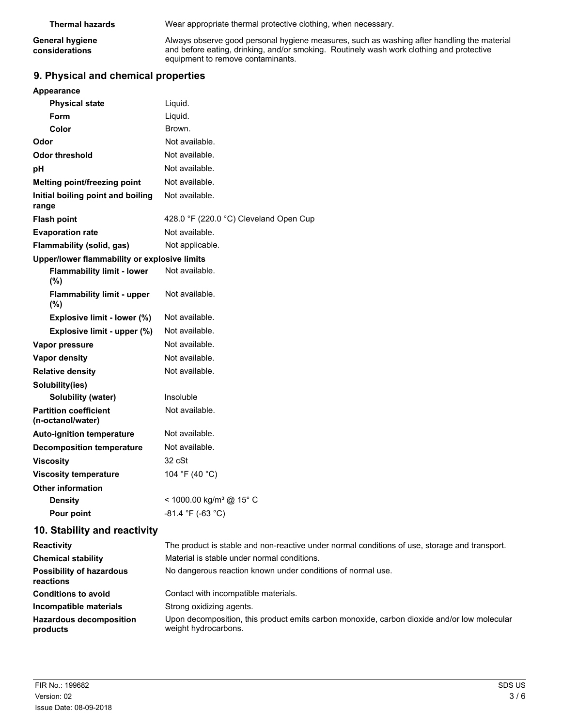| <b>Thermal hazards</b> | Wear appropriate thermal protective clothing, when necessary.                              |
|------------------------|--------------------------------------------------------------------------------------------|
| <b>General hygiene</b> | Always observe good personal hygiene measures, such as washing after handling the material |
| considerations         | and before eating, drinking, and/or smoking. Routinely wash work clothing and protective   |

equipment to remove contaminants.

# **9. Physical and chemical properties**

| Appearance                                        |                                                                                               |
|---------------------------------------------------|-----------------------------------------------------------------------------------------------|
| <b>Physical state</b>                             | Liquid.                                                                                       |
| <b>Form</b>                                       | Liquid.                                                                                       |
| Color                                             | Brown.                                                                                        |
| Odor                                              | Not available.                                                                                |
| <b>Odor threshold</b>                             | Not available.                                                                                |
| рH                                                | Not available.                                                                                |
| Melting point/freezing point                      | Not available.                                                                                |
| Initial boiling point and boiling<br>range        | Not available.                                                                                |
| <b>Flash point</b>                                | 428.0 °F (220.0 °C) Cleveland Open Cup                                                        |
| <b>Evaporation rate</b>                           | Not available.                                                                                |
| Flammability (solid, gas)                         | Not applicable.                                                                               |
| Upper/lower flammability or explosive limits      |                                                                                               |
| <b>Flammability limit - lower</b><br>$(\% )$      | Not available.                                                                                |
| <b>Flammability limit - upper</b><br>(%)          | Not available.                                                                                |
| Explosive limit - lower (%)                       | Not available.                                                                                |
| Explosive limit - upper (%)                       | Not available.                                                                                |
| Vapor pressure                                    | Not available.                                                                                |
| <b>Vapor density</b>                              | Not available.                                                                                |
| <b>Relative density</b>                           | Not available.                                                                                |
| Solubility(ies)                                   |                                                                                               |
| Solubility (water)                                | Insoluble                                                                                     |
| <b>Partition coefficient</b><br>(n-octanol/water) | Not available.                                                                                |
| <b>Auto-ignition temperature</b>                  | Not available.                                                                                |
| <b>Decomposition temperature</b>                  | Not available.                                                                                |
| <b>Viscosity</b>                                  | 32 cSt                                                                                        |
| <b>Viscosity temperature</b>                      | 104 °F (40 °C)                                                                                |
| <b>Other information</b>                          |                                                                                               |
| <b>Density</b>                                    | < 1000.00 kg/m <sup>3</sup> @ 15° C                                                           |
| Pour point                                        | $-81.4 °F (-63 °C)$                                                                           |
| 10. Stability and reactivity                      |                                                                                               |
| <b>Reactivity</b>                                 | The product is stable and non-reactive under normal conditions of use, storage and transport. |
| <b>Chemical stability</b>                         | Material is stable under normal conditions.                                                   |
| <b>Possibility of hazardous</b><br>reactions      | No dangerous reaction known under conditions of normal use.                                   |
| <b>Conditions to avoid</b>                        | Contact with incompatible materials.                                                          |

**Incompatible materials** Strong oxidizing agents.

Upon decomposition, this product emits carbon monoxide, carbon dioxide and/or low molecular weight hydrocarbons. **Hazardous decomposition products**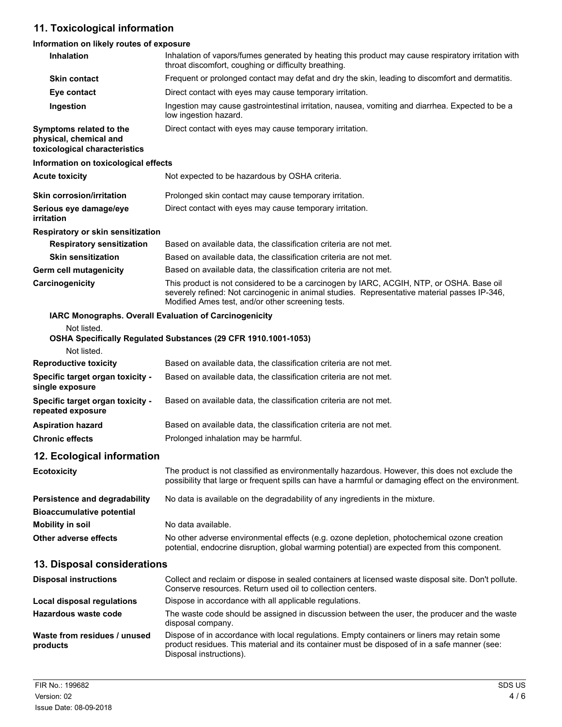# **11. Toxicological information**

# **Information on likely routes of exposure**

| Inhalation                                                                         | Inhalation of vapors/fumes generated by heating this product may cause respiratory irritation with<br>throat discomfort, coughing or difficulty breathing.                                                                                    |
|------------------------------------------------------------------------------------|-----------------------------------------------------------------------------------------------------------------------------------------------------------------------------------------------------------------------------------------------|
| <b>Skin contact</b>                                                                | Frequent or prolonged contact may defat and dry the skin, leading to discomfort and dermatitis.                                                                                                                                               |
| Eye contact                                                                        | Direct contact with eyes may cause temporary irritation.                                                                                                                                                                                      |
| Ingestion                                                                          | Ingestion may cause gastrointestinal irritation, nausea, vomiting and diarrhea. Expected to be a<br>low ingestion hazard.                                                                                                                     |
| Symptoms related to the<br>physical, chemical and<br>toxicological characteristics | Direct contact with eyes may cause temporary irritation.                                                                                                                                                                                      |
| Information on toxicological effects                                               |                                                                                                                                                                                                                                               |
| <b>Acute toxicity</b>                                                              | Not expected to be hazardous by OSHA criteria.                                                                                                                                                                                                |
| <b>Skin corrosion/irritation</b>                                                   | Prolonged skin contact may cause temporary irritation.                                                                                                                                                                                        |
| Serious eye damage/eye<br>irritation                                               | Direct contact with eyes may cause temporary irritation.                                                                                                                                                                                      |
| Respiratory or skin sensitization                                                  |                                                                                                                                                                                                                                               |
| <b>Respiratory sensitization</b>                                                   | Based on available data, the classification criteria are not met.                                                                                                                                                                             |
| <b>Skin sensitization</b>                                                          | Based on available data, the classification criteria are not met.                                                                                                                                                                             |
| <b>Germ cell mutagenicity</b>                                                      | Based on available data, the classification criteria are not met.                                                                                                                                                                             |
| Carcinogenicity                                                                    | This product is not considered to be a carcinogen by IARC, ACGIH, NTP, or OSHA. Base oil<br>severely refined: Not carcinogenic in animal studies. Representative material passes IP-346,<br>Modified Ames test, and/or other screening tests. |
| IARC Monographs. Overall Evaluation of Carcinogenicity                             |                                                                                                                                                                                                                                               |
| Not listed.<br>Not listed.                                                         | OSHA Specifically Regulated Substances (29 CFR 1910.1001-1053)                                                                                                                                                                                |
| <b>Reproductive toxicity</b>                                                       | Based on available data, the classification criteria are not met.                                                                                                                                                                             |
| Specific target organ toxicity -<br>single exposure                                | Based on available data, the classification criteria are not met.                                                                                                                                                                             |
| Specific target organ toxicity -<br>repeated exposure                              | Based on available data, the classification criteria are not met.                                                                                                                                                                             |
| <b>Aspiration hazard</b>                                                           | Based on available data, the classification criteria are not met.                                                                                                                                                                             |
| <b>Chronic effects</b>                                                             | Prolonged inhalation may be harmful.                                                                                                                                                                                                          |
| 12. Ecological information                                                         |                                                                                                                                                                                                                                               |
| <b>Ecotoxicity</b>                                                                 | The product is not classified as environmentally hazardous. However, this does not exclude the<br>possibility that large or frequent spills can have a harmful or damaging effect on the environment.                                         |
| Persistence and degradability<br><b>Bioaccumulative potential</b>                  | No data is available on the degradability of any ingredients in the mixture.                                                                                                                                                                  |
| <b>Mobility in soil</b>                                                            | No data available.                                                                                                                                                                                                                            |
| Other adverse effects                                                              | No other adverse environmental effects (e.g. ozone depletion, photochemical ozone creation<br>potential, endocrine disruption, global warming potential) are expected from this component.                                                    |
| 13. Disposal considerations                                                        |                                                                                                                                                                                                                                               |
| <b>Disposal instructions</b>                                                       | Collect and reclaim or dispose in sealed containers at licensed waste disposal site. Don't pollute.<br>Conserve resources. Return used oil to collection centers.                                                                             |
| Local disposal regulations                                                         | Dispose in accordance with all applicable regulations.                                                                                                                                                                                        |
| Hazardous waste code                                                               | The waste code should be assigned in discussion between the user, the producer and the waste<br>disposal company.                                                                                                                             |
| Waste from residues / unused<br>products                                           | Dispose of in accordance with local regulations. Empty containers or liners may retain some<br>product residues. This material and its container must be disposed of in a safe manner (see:<br>Disposal instructions).                        |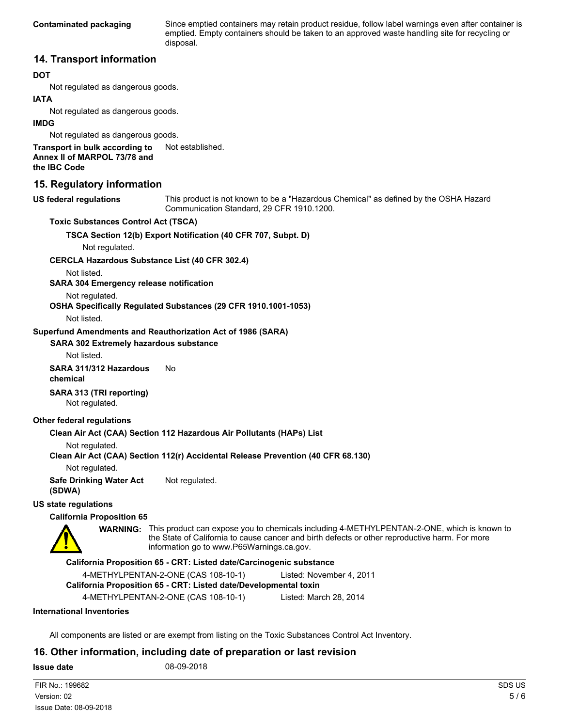Since emptied containers may retain product residue, follow label warnings even after container is emptied. Empty containers should be taken to an approved waste handling site for recycling or disposal.

### **14. Transport information**

#### **DOT**

Not regulated as dangerous goods.

#### **IATA**

Not regulated as dangerous goods.

#### **IMDG**

Not regulated as dangerous goods.

**Transport in bulk according to** Not established. **Annex II of MARPOL 73/78 and**

**the IBC Code**

### **15. Regulatory information**

#### **US federal regulations**

This product is not known to be a "Hazardous Chemical" as defined by the OSHA Hazard Communication Standard, 29 CFR 1910.1200.

#### **Toxic Substances Control Act (TSCA)**

**TSCA Section 12(b) Export Notification (40 CFR 707, Subpt. D)**

Not regulated.

**CERCLA Hazardous Substance List (40 CFR 302.4)**

Not listed.

**SARA 304 Emergency release notification**

Not regulated.

**OSHA Specifically Regulated Substances (29 CFR 1910.1001-1053)**

Not listed.

**Superfund Amendments and Reauthorization Act of 1986 (SARA)**

#### **SARA 302 Extremely hazardous substance**

Not listed.

**SARA 311/312 Hazardous** No **chemical**

**SARA 313 (TRI reporting)** Not regulated.

#### **Other federal regulations**

#### **Clean Air Act (CAA) Section 112 Hazardous Air Pollutants (HAPs) List**

Not regulated.

#### **Clean Air Act (CAA) Section 112(r) Accidental Release Prevention (40 CFR 68.130)**

Not regulated.

**Safe Drinking Water Act** Not regulated. **(SDWA)**

## **US state regulations**

### **California Proposition 65**

WARNING: This product can expose you to chemicals including 4-METHYLPENTAN-2-ONE, which is known to the State of California to cause cancer and birth defects or other reproductive harm. For more information go to www.P65Warnings.ca.gov.

#### **California Proposition 65 - CRT: Listed date/Carcinogenic substance**

4-METHYLPENTAN-2-ONE (CAS 108-10-1) Listed: November 4, 2011

**California Proposition 65 - CRT: Listed date/Developmental toxin**

4-METHYLPENTAN-2-ONE (CAS 108-10-1) Listed: March 28, 2014

#### **International Inventories**

All components are listed or are exempt from listing on the Toxic Substances Control Act Inventory.

### **16. Other information, including date of preparation or last revision**

#### **Issue date** 08-09-2018